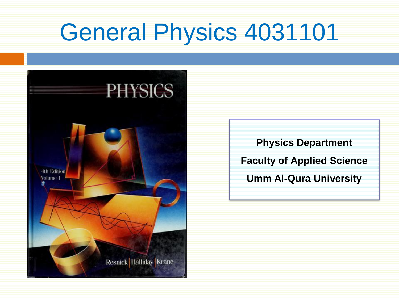# General Physics 4031101



**Physics Department Faculty of Applied Science Umm Al-Qura University**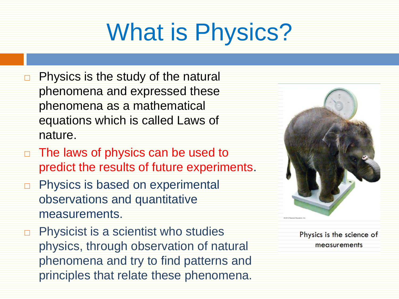# What is Physics?

- $\Box$  Physics is the study of the natural phenomena and expressed these phenomena as a mathematical equations which is called Laws of nature.
- □ The laws of physics can be used to predict the results of future experiments.
- **Physics is based on experimental** observations and quantitative measurements.
- $\Box$  Physicist is a scientist who studies physics, through observation of natural phenomena and try to find patterns and principles that relate these phenomena.



Physics is the science of measurements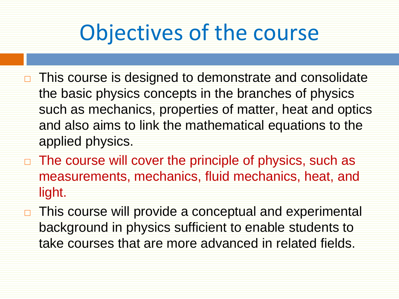### Objectives of the course

- $\Box$  This course is designed to demonstrate and consolidate the basic physics concepts in the branches of physics such as mechanics, properties of matter, heat and optics and also aims to link the mathematical equations to the applied physics.
- $\Box$  The course will cover the principle of physics, such as measurements, mechanics, fluid mechanics, heat, and light.
- □ This course will provide a conceptual and experimental background in physics sufficient to enable students to take courses that are more advanced in related fields.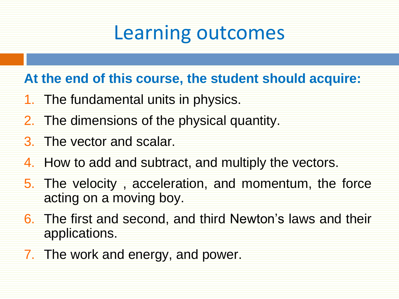### Learning outcomes

#### **At the end of this course, the student should acquire:**

- 1. The fundamental units in physics.
- 2. The dimensions of the physical quantity.
- 3. The vector and scalar.
- 4. How to add and subtract, and multiply the vectors.
- 5. The velocity , acceleration, and momentum, the force acting on a moving boy.
- 6. The first and second, and third Newton's laws and their applications.
- 7. The work and energy, and power.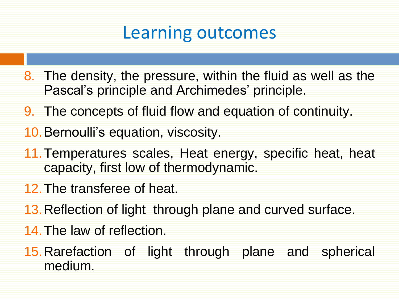#### Learning outcomes

- 8. The density, the pressure, within the fluid as well as the Pascal's principle and Archimedes' principle.
- 9. The concepts of fluid flow and equation of continuity.
- 10.Bernoulli's equation, viscosity.
- 11.Temperatures scales, Heat energy, specific heat, heat capacity, first low of thermodynamic.
- 12.The transferee of heat.
- 13.Reflection of light through plane and curved surface.
- 14.The law of reflection.
- 15.Rarefaction of light through plane and spherical medium.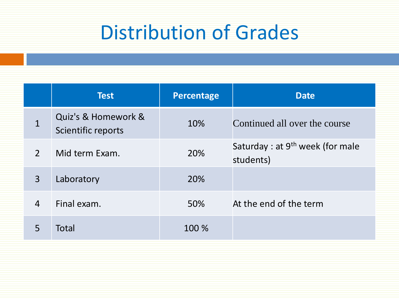### Distribution of Grades

|                            | <b>Test</b>                               | <b>Percentage</b> | <b>Date</b>                                               |
|----------------------------|-------------------------------------------|-------------------|-----------------------------------------------------------|
| $\mathbf{1}$               | Quiz's & Homework &<br>Scientific reports | 10%               | Continued all over the course                             |
| $\mathcal{P}$              | Mid term Exam.                            | 20%               | Saturday : at 9 <sup>th</sup> week (for male<br>students) |
| $\overline{3}$             | Laboratory                                | 20%               |                                                           |
| $\boldsymbol{\mathcal{L}}$ | Final exam.                               | 50%               | At the end of the term                                    |
| 5                          | <b>Total</b>                              | 100 %             |                                                           |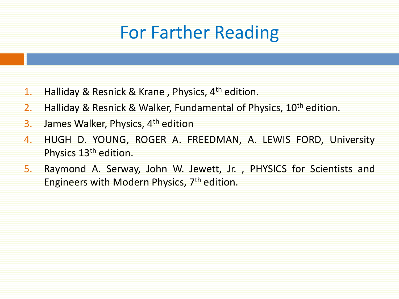### For Farther Reading

- 1. Halliday & Resnick & Krane, Physics, 4<sup>th</sup> edition.
- 2. Halliday & Resnick & Walker, Fundamental of Physics, 10<sup>th</sup> edition.
- 3. James Walker, Physics, 4<sup>th</sup> edition
- 4. HUGH D. YOUNG, ROGER A. FREEDMAN, A. LEWIS FORD, University Physics 13th edition.
- 5. Raymond A. Serway, John W. Jewett, Jr. , PHYSICS for Scientists and Engineers with Modern Physics, 7<sup>th</sup> edition.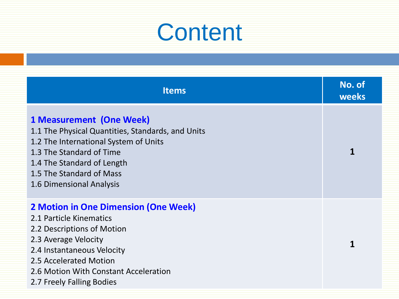| <b>Items</b>                                                                                                                                                                                                                                               | No. of<br>weeks |
|------------------------------------------------------------------------------------------------------------------------------------------------------------------------------------------------------------------------------------------------------------|-----------------|
| <b>1 Measurement (One Week)</b><br>1.1 The Physical Quantities, Standards, and Units<br>1.2 The International System of Units<br>1.3 The Standard of Time<br>1.4 The Standard of Length<br>1.5 The Standard of Mass<br>1.6 Dimensional Analysis            |                 |
| <b>2 Motion in One Dimension (One Week)</b><br>2.1 Particle Kinematics<br>2.2 Descriptions of Motion<br>2.3 Average Velocity<br>2.4 Instantaneous Velocity<br>2.5 Accelerated Motion<br>2.6 Motion With Constant Acceleration<br>2.7 Freely Falling Bodies |                 |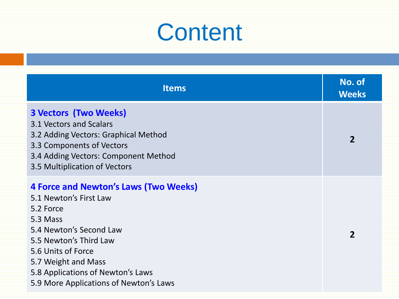| <b>Items</b>                                                                                                                                                                                                                                                                     | No. of<br><b>Weeks</b> |
|----------------------------------------------------------------------------------------------------------------------------------------------------------------------------------------------------------------------------------------------------------------------------------|------------------------|
| <b>3 Vectors (Two Weeks)</b><br>3.1 Vectors and Scalars<br>3.2 Adding Vectors: Graphical Method<br>3.3 Components of Vectors<br>3.4 Adding Vectors: Component Method<br>3.5 Multiplication of Vectors                                                                            | $\overline{2}$         |
| <b>4 Force and Newton's Laws (Two Weeks)</b><br>5.1 Newton's First Law<br>5.2 Force<br>5.3 Mass<br>5.4 Newton's Second Law<br>5.5 Newton's Third Law<br>5.6 Units of Force<br>5.7 Weight and Mass<br>5.8 Applications of Newton's Laws<br>5.9 More Applications of Newton's Laws | $\overline{2}$         |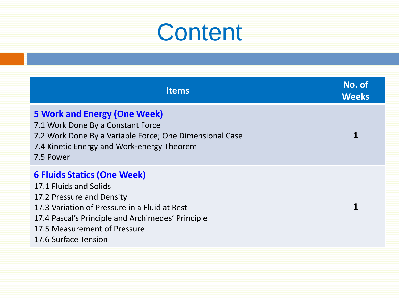| <b>Items</b>                                                                                                                                                                                                                                            | No. of<br><b>Weeks</b> |
|---------------------------------------------------------------------------------------------------------------------------------------------------------------------------------------------------------------------------------------------------------|------------------------|
| <b>5 Work and Energy (One Week)</b><br>7.1 Work Done By a Constant Force<br>7.2 Work Done By a Variable Force; One Dimensional Case<br>7.4 Kinetic Energy and Work-energy Theorem<br>7.5 Power                                                          |                        |
| <b>6 Fluids Statics (One Week)</b><br>17.1 Fluids and Solids<br>17.2 Pressure and Density<br>17.3 Variation of Pressure in a Fluid at Rest<br>17.4 Pascal's Principle and Archimedes' Principle<br>17.5 Measurement of Pressure<br>17.6 Surface Tension |                        |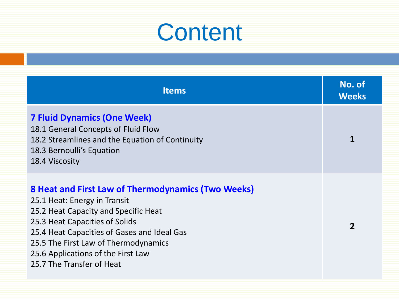| <b>Items</b>                                                                                                                                                                                                                                                                                                           | No. of<br><b>Weeks</b> |
|------------------------------------------------------------------------------------------------------------------------------------------------------------------------------------------------------------------------------------------------------------------------------------------------------------------------|------------------------|
| <b>7 Fluid Dynamics (One Week)</b><br>18.1 General Concepts of Fluid Flow<br>18.2 Streamlines and the Equation of Continuity<br>18.3 Bernoulli's Equation<br>18.4 Viscosity                                                                                                                                            |                        |
| 8 Heat and First Law of Thermodynamics (Two Weeks)<br>25.1 Heat: Energy in Transit<br>25.2 Heat Capacity and Specific Heat<br>25.3 Heat Capacities of Solids<br>25.4 Heat Capacities of Gases and Ideal Gas<br>25.5 The First Law of Thermodynamics<br>25.6 Applications of the First Law<br>25.7 The Transfer of Heat |                        |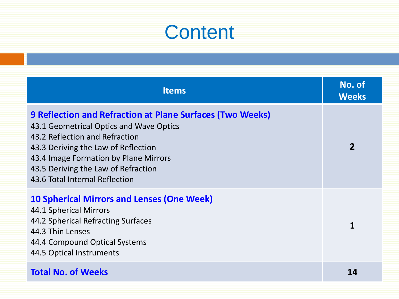| <b>Items</b>                                                                                                                                                                                                                                                                                           | No. of<br><b>Weeks</b> |
|--------------------------------------------------------------------------------------------------------------------------------------------------------------------------------------------------------------------------------------------------------------------------------------------------------|------------------------|
| <b>9 Reflection and Refraction at Plane Surfaces (Two Weeks)</b><br>43.1 Geometrical Optics and Wave Optics<br>43.2 Reflection and Refraction<br>43.3 Deriving the Law of Reflection<br>43.4 Image Formation by Plane Mirrors<br>43.5 Deriving the Law of Refraction<br>43.6 Total Internal Reflection | $\overline{2}$         |
| <b>10 Spherical Mirrors and Lenses (One Week)</b><br>44.1 Spherical Mirrors<br>44.2 Spherical Refracting Surfaces<br>44.3 Thin Lenses<br>44.4 Compound Optical Systems<br>44.5 Optical Instruments                                                                                                     | 1                      |
| <b>Total No. of Weeks</b>                                                                                                                                                                                                                                                                              | 14                     |